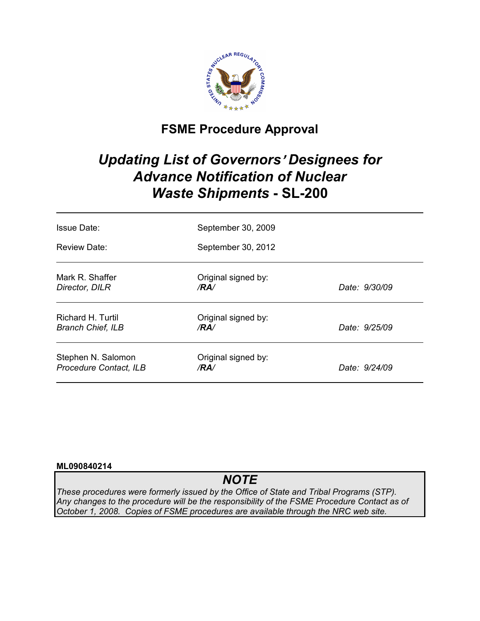

# **FSME Procedure Approval**

# *Updating List of Governors*= *Designees for Advance Notification of Nuclear Waste Shipments* **- SL-200**

| <b>Issue Date:</b>                            | September 30, 2009          |               |
|-----------------------------------------------|-----------------------------|---------------|
| Review Date:                                  | September 30, 2012          |               |
| Mark R. Shaffer<br>Director, DILR             | Original signed by:<br>/RA/ | Date: 9/30/09 |
| Richard H. Turtil<br><b>Branch Chief, ILB</b> | Original signed by:<br>/RA/ | Date: 9/25/09 |
| Stephen N. Salomon<br>Procedure Contact, ILB  | Original signed by:<br>/RA/ | Date: 9/24/09 |

### **ML090840214**

# *NOTE*

*These procedures were formerly issued by the Office of State and Tribal Programs (STP). Any changes to the procedure will be the responsibility of the FSME Procedure Contact as of October 1, 2008. Copies of FSME procedures are available through the NRC web site.*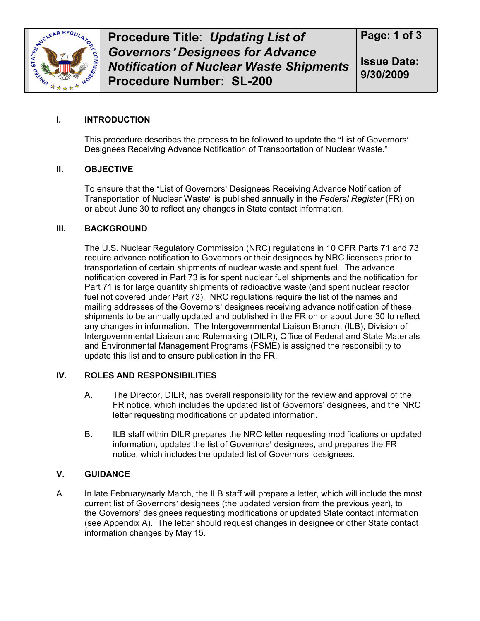

**Issue Date: 9/30/2009**

## **I. INTRODUCTION**

This procedure describes the process to be followed to update the "List of Governors" Designees Receiving Advance Notification of Transportation of Nuclear Waste."

### **II. OBJECTIVE**

To ensure that the "List of Governors' Designees Receiving Advance Notification of Transportation of Nuclear Waste" is published annually in the *Federal Register* (FR) on or about June 30 to reflect any changes in State contact information.

### **III. BACKGROUND**

The U.S. Nuclear Regulatory Commission (NRC) regulations in 10 CFR Parts 71 and 73 require advance notification to Governors or their designees by NRC licensees prior to transportation of certain shipments of nuclear waste and spent fuel. The advance notification covered in Part 73 is for spent nuclear fuel shipments and the notification for Part 71 is for large quantity shipments of radioactive waste (and spent nuclear reactor fuel not covered under Part 73). NRC regulations require the list of the names and mailing addresses of the Governors' designees receiving advance notification of these shipments to be annually updated and published in the FR on or about June 30 to reflect any changes in information. The Intergovernmental Liaison Branch, (ILB), Division of Intergovernmental Liaison and Rulemaking (DILR), Office of Federal and State Materials and Environmental Management Programs (FSME) is assigned the responsibility to update this list and to ensure publication in the FR.

### **IV. ROLES AND RESPONSIBILITIES**

- A. The Director, DILR, has overall responsibility for the review and approval of the FR notice, which includes the updated list of Governors' designees, and the NRC letter requesting modifications or updated information.
- B. ILB staff within DILR prepares the NRC letter requesting modifications or updated information, updates the list of Governors' designees, and prepares the FR notice, which includes the updated list of Governors' designees.

### **V. GUIDANCE**

A. In late February/early March, the ILB staff will prepare a letter, which will include the most current list of Governors' designees (the updated version from the previous year), to the Governors' designees requesting modifications or updated State contact information (see Appendix A). The letter should request changes in designee or other State contact information changes by May 15.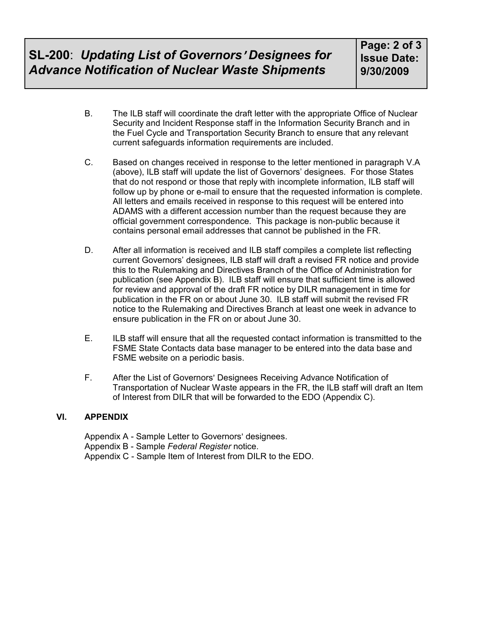- B. The ILB staff will coordinate the draft letter with the appropriate Office of Nuclear Security and Incident Response staff in the Information Security Branch and in the Fuel Cycle and Transportation Security Branch to ensure that any relevant current safeguards information requirements are included.
- C. Based on changes received in response to the letter mentioned in paragraph V.A (above), ILB staff will update the list of Governors' designees. For those States that do not respond or those that reply with incomplete information, ILB staff will follow up by phone or e-mail to ensure that the requested information is complete. All letters and emails received in response to this request will be entered into ADAMS with a different accession number than the request because they are official government correspondence. This package is non-public because it contains personal email addresses that cannot be published in the FR.
- D. After all information is received and ILB staff compiles a complete list reflecting current Governors' designees, ILB staff will draft a revised FR notice and provide this to the Rulemaking and Directives Branch of the Office of Administration for publication (see Appendix B). ILB staff will ensure that sufficient time is allowed for review and approval of the draft FR notice by DILR management in time for publication in the FR on or about June 30. ILB staff will submit the revised FR notice to the Rulemaking and Directives Branch at least one week in advance to ensure publication in the FR on or about June 30.
- E. ILB staff will ensure that all the requested contact information is transmitted to the FSME State Contacts data base manager to be entered into the data base and FSME website on a periodic basis.
- F. After the List of Governors' Designees Receiving Advance Notification of Transportation of Nuclear Waste appears in the FR, the ILB staff will draft an Item of Interest from DILR that will be forwarded to the EDO (Appendix C).

### **VI. APPENDIX**

Appendix A - Sample Letter to Governors' designees. Appendix B - Sample *Federal Register* notice. Appendix C - Sample Item of Interest from DILR to the EDO.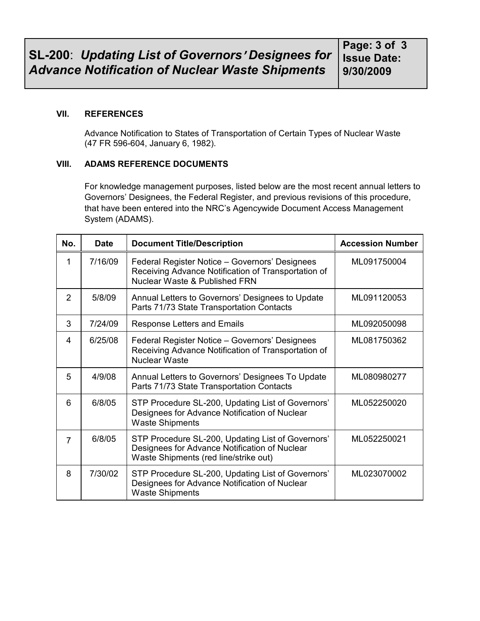#### **VII. REFERENCES**

Advance Notification to States of Transportation of Certain Types of Nuclear Waste (47 FR 596-604, January 6, 1982).

### **VIII. ADAMS REFERENCE DOCUMENTS**

For knowledge management purposes, listed below are the most recent annual letters to Governors' Designees, the Federal Register, and previous revisions of this procedure, that have been entered into the NRC's Agencywide Document Access Management System (ADAMS).

| No. | <b>Date</b> | <b>Document Title/Description</b><br><b>Accession Number</b>                                                                                |             |
|-----|-------------|---------------------------------------------------------------------------------------------------------------------------------------------|-------------|
| 1   | 7/16/09     | Federal Register Notice - Governors' Designees<br>Receiving Advance Notification of Transportation of<br>Nuclear Waste & Published FRN      | ML091750004 |
| 2   | 5/8/09      | Annual Letters to Governors' Designees to Update<br>Parts 71/73 State Transportation Contacts                                               | ML091120053 |
| 3   | 7/24/09     | <b>Response Letters and Emails</b>                                                                                                          | ML092050098 |
| 4   | 6/25/08     | Federal Register Notice - Governors' Designees<br>Receiving Advance Notification of Transportation of<br><b>Nuclear Waste</b>               | ML081750362 |
| 5   | 4/9/08      | Annual Letters to Governors' Designees To Update<br>Parts 71/73 State Transportation Contacts                                               | ML080980277 |
| 6   | 6/8/05      | STP Procedure SL-200, Updating List of Governors'<br>Designees for Advance Notification of Nuclear<br><b>Waste Shipments</b>                | ML052250020 |
| 7   | 6/8/05      | STP Procedure SL-200, Updating List of Governors'<br>Designees for Advance Notification of Nuclear<br>Waste Shipments (red line/strike out) | ML052250021 |
| 8   | 7/30/02     | STP Procedure SL-200, Updating List of Governors'<br>Designees for Advance Notification of Nuclear<br><b>Waste Shipments</b>                | ML023070002 |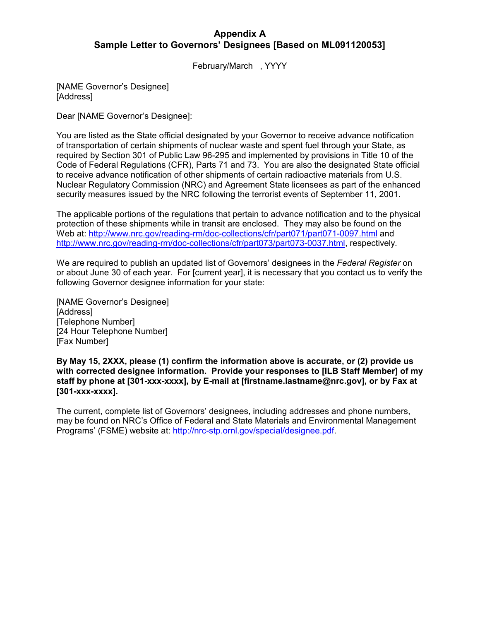## **Appendix A Sample Letter to Governors' Designees [Based on ML091120053]**

February/March , YYYY

[NAME Governor's Designee] [Address]

Dear [NAME Governor's Designee]:

You are listed as the State official designated by your Governor to receive advance notification of transportation of certain shipments of nuclear waste and spent fuel through your State, as required by Section 301 of Public Law 96-295 and implemented by provisions in Title 10 of the Code of Federal Regulations (CFR), Parts 71 and 73. You are also the designated State official to receive advance notification of other shipments of certain radioactive materials from U.S. Nuclear Regulatory Commission (NRC) and Agreement State licensees as part of the enhanced security measures issued by the NRC following the terrorist events of September 11, 2001.

The applicable portions of the regulations that pertain to advance notification and to the physical protection of these shipments while in transit are enclosed. They may also be found on the Web at: http://www.nrc.gov/reading-rm/doc-collections/cfr/part071/part071-0097.html and http://www.nrc.gov/reading-rm/doc-collections/cfr/part073/part073-0037.html, respectively.

We are required to publish an updated list of Governors' designees in the *Federal Register* on or about June 30 of each year. For [current year], it is necessary that you contact us to verify the following Governor designee information for your state:

[NAME Governor's Designee] [Address] [Telephone Number] [24 Hour Telephone Number] [Fax Number]

**By May 15, 2XXX, please (1) confirm the information above is accurate, or (2) provide us with corrected designee information. Provide your responses to [ILB Staff Member] of my staff by phone at [301-xxx-xxxx], by E-mail at [firstname.lastname@nrc.gov], or by Fax at [301-xxx-xxxx].** 

The current, complete list of Governors' designees, including addresses and phone numbers, may be found on NRC's Office of Federal and State Materials and Environmental Management Programs' (FSME) website at: http://nrc-stp.ornl.gov/special/designee.pdf.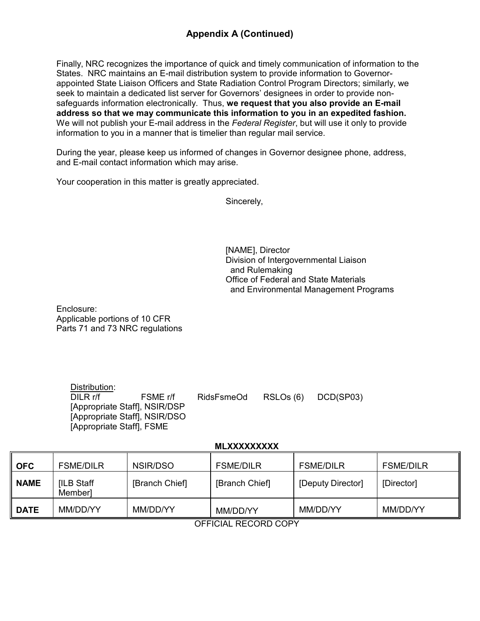# **Appendix A (Continued)**

Finally, NRC recognizes the importance of quick and timely communication of information to the States. NRC maintains an E-mail distribution system to provide information to Governorappointed State Liaison Officers and State Radiation Control Program Directors; similarly, we seek to maintain a dedicated list server for Governors' designees in order to provide nonsafeguards information electronically. Thus, **we request that you also provide an E-mail address so that we may communicate this information to you in an expedited fashion.**  We will not publish your E-mail address in the *Federal Register*, but will use it only to provide information to you in a manner that is timelier than regular mail service.

During the year, please keep us informed of changes in Governor designee phone, address, and E-mail contact information which may arise.

Your cooperation in this matter is greatly appreciated.

Sincerely,

 [NAME], Director Division of Intergovernmental Liaison and Rulemaking Office of Federal and State Materials and Environmental Management Programs

Enclosure: Applicable portions of 10 CFR Parts 71 and 73 NRC regulations

| Distribution:             |                               |            |                     |
|---------------------------|-------------------------------|------------|---------------------|
| DILR r/f                  | FSME r/f                      | RidsFsmeOd | RSLOs (6) DCD(SP03) |
|                           | [Appropriate Staff], NSIR/DSP |            |                     |
|                           | [Appropriate Staff], NSIR/DSO |            |                     |
| [Appropriate Staff], FSME |                               |            |                     |

#### **MLXXXXXXXXX**

| <b>OFC</b>  | <b>FSME/DILR</b>      | NSIR/DSO       | <b>FSME/DILR</b> | <b>FSME/DILR</b>  | <b>FSME/DILR</b> |
|-------------|-----------------------|----------------|------------------|-------------------|------------------|
| <b>NAME</b> | [ILB Staff<br>Member] | [Branch Chief] | [Branch Chief]   | [Deputy Director] | [Director]       |
| <b>DATE</b> | MM/DD/YY              | MM/DD/YY       | MM/DD/YY         | MM/DD/YY          | MM/DD/YY         |

OFFICIAL RECORD COPY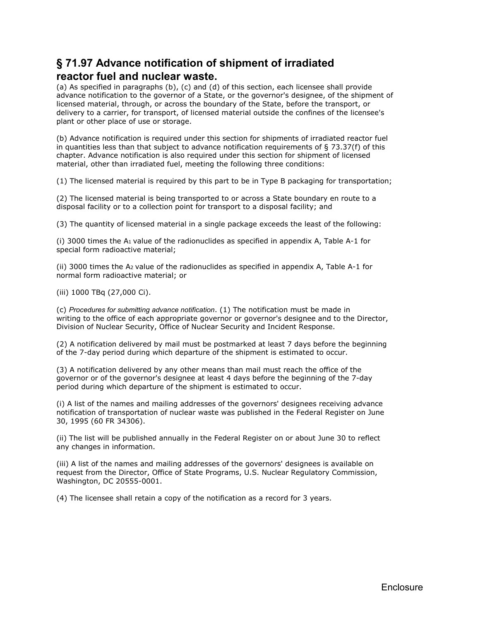# **§ 71.97 Advance notification of shipment of irradiated reactor fuel and nuclear waste.**

(a) As specified in paragraphs (b), (c) and (d) of this section, each licensee shall provide advance notification to the governor of a State, or the governor's designee, of the shipment of licensed material, through, or across the boundary of the State, before the transport, or delivery to a carrier, for transport, of licensed material outside the confines of the licensee's plant or other place of use or storage.

(b) Advance notification is required under this section for shipments of irradiated reactor fuel in quantities less than that subject to advance notification requirements of  $\S$  73.37(f) of this chapter. Advance notification is also required under this section for shipment of licensed material, other than irradiated fuel, meeting the following three conditions:

(1) The licensed material is required by this part to be in Type B packaging for transportation;

(2) The licensed material is being transported to or across a State boundary en route to a disposal facility or to a collection point for transport to a disposal facility; and

(3) The quantity of licensed material in a single package exceeds the least of the following:

(i) 3000 times the  $A_1$  value of the radionuclides as specified in appendix A, Table A-1 for special form radioactive material;

(ii) 3000 times the A2 value of the radionuclides as specified in appendix A, Table A-1 for normal form radioactive material; or

(iii) 1000 TBq (27,000 Ci).

(c) *Procedures for submitting advance notification*. (1) The notification must be made in writing to the office of each appropriate governor or governor's designee and to the Director, Division of Nuclear Security, Office of Nuclear Security and Incident Response.

(2) A notification delivered by mail must be postmarked at least 7 days before the beginning of the 7-day period during which departure of the shipment is estimated to occur.

(3) A notification delivered by any other means than mail must reach the office of the governor or of the governor's designee at least 4 days before the beginning of the 7-day period during which departure of the shipment is estimated to occur.

(i) A list of the names and mailing addresses of the governors' designees receiving advance notification of transportation of nuclear waste was published in the Federal Register on June 30, 1995 (60 FR 34306).

(ii) The list will be published annually in the Federal Register on or about June 30 to reflect any changes in information.

(iii) A list of the names and mailing addresses of the governors' designees is available on request from the Director, Office of State Programs, U.S. Nuclear Regulatory Commission, Washington, DC 20555-0001.

(4) The licensee shall retain a copy of the notification as a record for 3 years.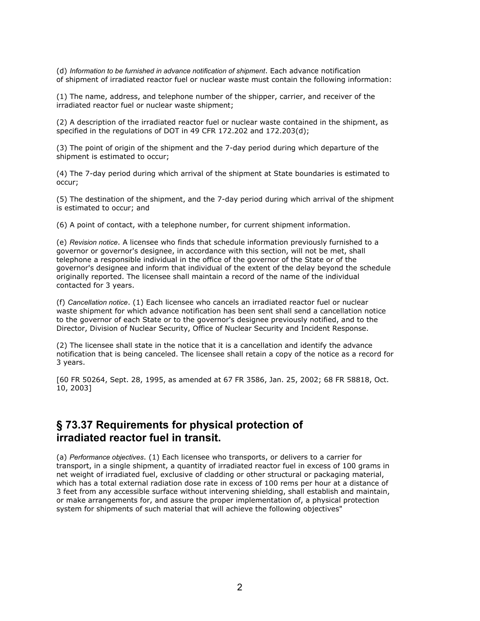(d) *Information to be furnished in advance notification of shipment*. Each advance notification of shipment of irradiated reactor fuel or nuclear waste must contain the following information:

(1) The name, address, and telephone number of the shipper, carrier, and receiver of the irradiated reactor fuel or nuclear waste shipment;

(2) A description of the irradiated reactor fuel or nuclear waste contained in the shipment, as specified in the regulations of DOT in 49 CFR 172.202 and 172.203(d);

(3) The point of origin of the shipment and the 7-day period during which departure of the shipment is estimated to occur;

(4) The 7-day period during which arrival of the shipment at State boundaries is estimated to occur;

(5) The destination of the shipment, and the 7-day period during which arrival of the shipment is estimated to occur; and

(6) A point of contact, with a telephone number, for current shipment information.

(e) *Revision notice*. A licensee who finds that schedule information previously furnished to a governor or governor's designee, in accordance with this section, will not be met, shall telephone a responsible individual in the office of the governor of the State or of the governor's designee and inform that individual of the extent of the delay beyond the schedule originally reported. The licensee shall maintain a record of the name of the individual contacted for 3 years.

(f) *Cancellation notice*. (1) Each licensee who cancels an irradiated reactor fuel or nuclear waste shipment for which advance notification has been sent shall send a cancellation notice to the governor of each State or to the governor's designee previously notified, and to the Director, Division of Nuclear Security, Office of Nuclear Security and Incident Response.

(2) The licensee shall state in the notice that it is a cancellation and identify the advance notification that is being canceled. The licensee shall retain a copy of the notice as a record for 3 years.

[60 FR 50264, Sept. 28, 1995, as amended at 67 FR 3586, Jan. 25, 2002; 68 FR 58818, Oct. 10, 2003]

# **§ 73.37 Requirements for physical protection of irradiated reactor fuel in transit.**

(a) *Performance objectives*. (1) Each licensee who transports, or delivers to a carrier for transport, in a single shipment, a quantity of irradiated reactor fuel in excess of 100 grams in net weight of irradiated fuel, exclusive of cladding or other structural or packaging material, which has a total external radiation dose rate in excess of 100 rems per hour at a distance of 3 feet from any accessible surface without intervening shielding, shall establish and maintain, or make arrangements for, and assure the proper implementation of, a physical protection system for shipments of such material that will achieve the following objectives"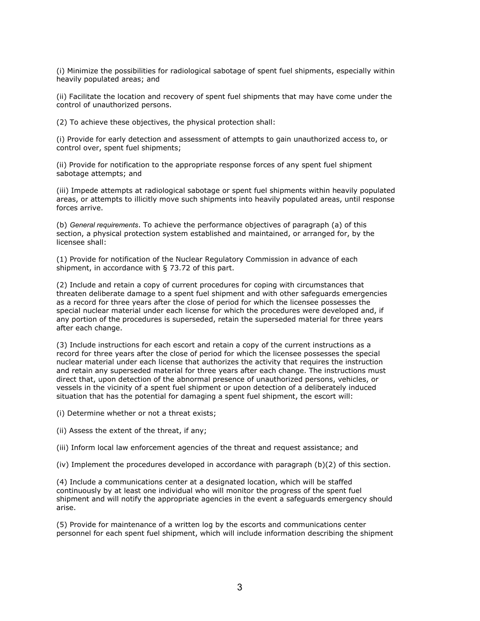(i) Minimize the possibilities for radiological sabotage of spent fuel shipments, especially within heavily populated areas; and

(ii) Facilitate the location and recovery of spent fuel shipments that may have come under the control of unauthorized persons.

(2) To achieve these objectives, the physical protection shall:

(i) Provide for early detection and assessment of attempts to gain unauthorized access to, or control over, spent fuel shipments;

(ii) Provide for notification to the appropriate response forces of any spent fuel shipment sabotage attempts; and

(iii) Impede attempts at radiological sabotage or spent fuel shipments within heavily populated areas, or attempts to illicitly move such shipments into heavily populated areas, until response forces arrive.

(b) *General requirements*. To achieve the performance objectives of paragraph (a) of this section, a physical protection system established and maintained, or arranged for, by the licensee shall:

(1) Provide for notification of the Nuclear Regulatory Commission in advance of each shipment, in accordance with § 73.72 of this part.

(2) Include and retain a copy of current procedures for coping with circumstances that threaten deliberate damage to a spent fuel shipment and with other safeguards emergencies as a record for three years after the close of period for which the licensee possesses the special nuclear material under each license for which the procedures were developed and, if any portion of the procedures is superseded, retain the superseded material for three years after each change.

(3) Include instructions for each escort and retain a copy of the current instructions as a record for three years after the close of period for which the licensee possesses the special nuclear material under each license that authorizes the activity that requires the instruction and retain any superseded material for three years after each change. The instructions must direct that, upon detection of the abnormal presence of unauthorized persons, vehicles, or vessels in the vicinity of a spent fuel shipment or upon detection of a deliberately induced situation that has the potential for damaging a spent fuel shipment, the escort will:

(i) Determine whether or not a threat exists;

(ii) Assess the extent of the threat, if any;

(iii) Inform local law enforcement agencies of the threat and request assistance; and

(iv) Implement the procedures developed in accordance with paragraph  $(b)(2)$  of this section.

(4) Include a communications center at a designated location, which will be staffed continuously by at least one individual who will monitor the progress of the spent fuel shipment and will notify the appropriate agencies in the event a safeguards emergency should arise.

(5) Provide for maintenance of a written log by the escorts and communications center personnel for each spent fuel shipment, which will include information describing the shipment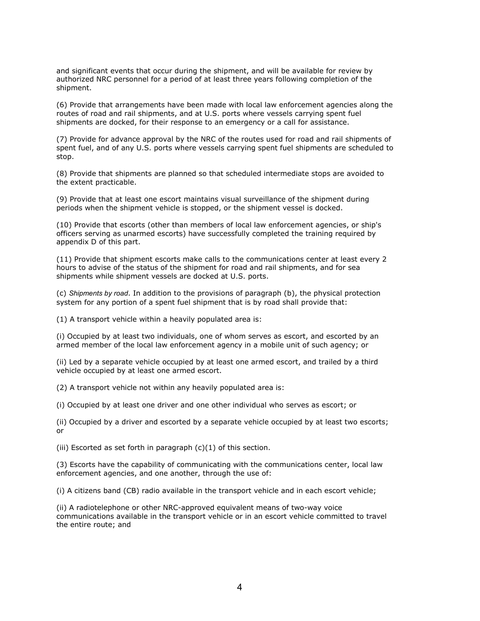and significant events that occur during the shipment, and will be available for review by authorized NRC personnel for a period of at least three years following completion of the shipment.

(6) Provide that arrangements have been made with local law enforcement agencies along the routes of road and rail shipments, and at U.S. ports where vessels carrying spent fuel shipments are docked, for their response to an emergency or a call for assistance.

(7) Provide for advance approval by the NRC of the routes used for road and rail shipments of spent fuel, and of any U.S. ports where vessels carrying spent fuel shipments are scheduled to stop.

(8) Provide that shipments are planned so that scheduled intermediate stops are avoided to the extent practicable.

(9) Provide that at least one escort maintains visual surveillance of the shipment during periods when the shipment vehicle is stopped, or the shipment vessel is docked.

(10) Provide that escorts (other than members of local law enforcement agencies, or ship's officers serving as unarmed escorts) have successfully completed the training required by appendix D of this part.

(11) Provide that shipment escorts make calls to the communications center at least every 2 hours to advise of the status of the shipment for road and rail shipments, and for sea shipments while shipment vessels are docked at U.S. ports.

(c) *Shipments by road*. In addition to the provisions of paragraph (b), the physical protection system for any portion of a spent fuel shipment that is by road shall provide that:

(1) A transport vehicle within a heavily populated area is:

(i) Occupied by at least two individuals, one of whom serves as escort, and escorted by an armed member of the local law enforcement agency in a mobile unit of such agency; or

(ii) Led by a separate vehicle occupied by at least one armed escort, and trailed by a third vehicle occupied by at least one armed escort.

(2) A transport vehicle not within any heavily populated area is:

(i) Occupied by at least one driver and one other individual who serves as escort; or

(ii) Occupied by a driver and escorted by a separate vehicle occupied by at least two escorts; or

(iii) Escorted as set forth in paragraph  $(c)(1)$  of this section.

(3) Escorts have the capability of communicating with the communications center, local law enforcement agencies, and one another, through the use of:

(i) A citizens band (CB) radio available in the transport vehicle and in each escort vehicle;

(ii) A radiotelephone or other NRC-approved equivalent means of two-way voice communications available in the transport vehicle or in an escort vehicle committed to travel the entire route; and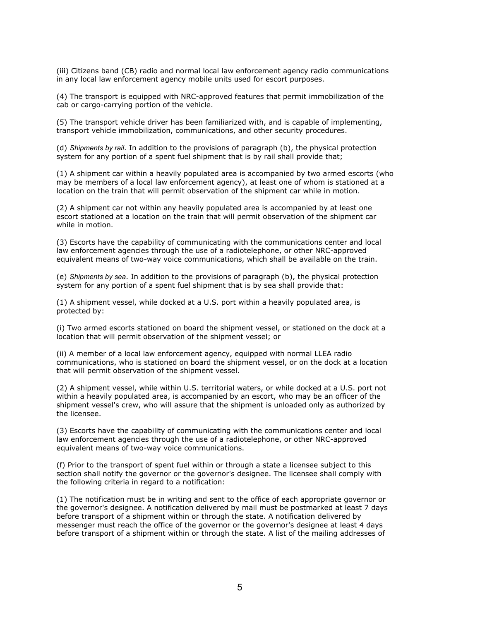(iii) Citizens band (CB) radio and normal local law enforcement agency radio communications in any local law enforcement agency mobile units used for escort purposes.

(4) The transport is equipped with NRC-approved features that permit immobilization of the cab or cargo-carrying portion of the vehicle.

(5) The transport vehicle driver has been familiarized with, and is capable of implementing, transport vehicle immobilization, communications, and other security procedures.

(d) *Shipments by rail*. In addition to the provisions of paragraph (b), the physical protection system for any portion of a spent fuel shipment that is by rail shall provide that;

(1) A shipment car within a heavily populated area is accompanied by two armed escorts (who may be members of a local law enforcement agency), at least one of whom is stationed at a location on the train that will permit observation of the shipment car while in motion.

(2) A shipment car not within any heavily populated area is accompanied by at least one escort stationed at a location on the train that will permit observation of the shipment car while in motion.

(3) Escorts have the capability of communicating with the communications center and local law enforcement agencies through the use of a radiotelephone, or other NRC-approved equivalent means of two-way voice communications, which shall be available on the train.

(e) *Shipments by sea*. In addition to the provisions of paragraph (b), the physical protection system for any portion of a spent fuel shipment that is by sea shall provide that:

(1) A shipment vessel, while docked at a U.S. port within a heavily populated area, is protected by:

(i) Two armed escorts stationed on board the shipment vessel, or stationed on the dock at a location that will permit observation of the shipment vessel; or

(ii) A member of a local law enforcement agency, equipped with normal LLEA radio communications, who is stationed on board the shipment vessel, or on the dock at a location that will permit observation of the shipment vessel.

(2) A shipment vessel, while within U.S. territorial waters, or while docked at a U.S. port not within a heavily populated area, is accompanied by an escort, who may be an officer of the shipment vessel's crew, who will assure that the shipment is unloaded only as authorized by the licensee.

(3) Escorts have the capability of communicating with the communications center and local law enforcement agencies through the use of a radiotelephone, or other NRC-approved equivalent means of two-way voice communications.

(f) Prior to the transport of spent fuel within or through a state a licensee subject to this section shall notify the governor or the governor's designee. The licensee shall comply with the following criteria in regard to a notification:

(1) The notification must be in writing and sent to the office of each appropriate governor or the governor's designee. A notification delivered by mail must be postmarked at least 7 days before transport of a shipment within or through the state. A notification delivered by messenger must reach the office of the governor or the governor's designee at least 4 days before transport of a shipment within or through the state. A list of the mailing addresses of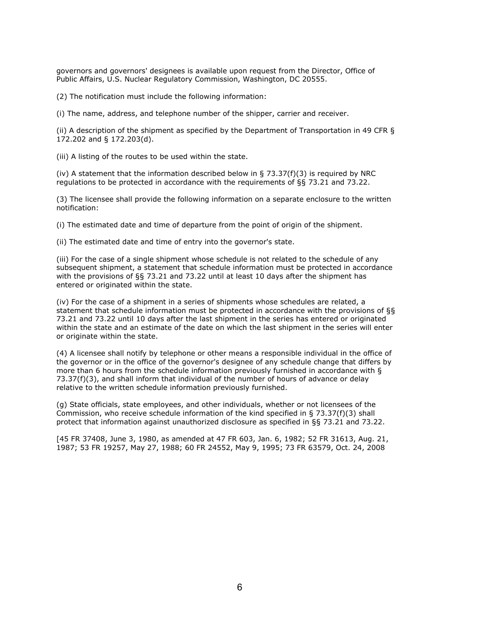governors and governors' designees is available upon request from the Director, Office of Public Affairs, U.S. Nuclear Regulatory Commission, Washington, DC 20555.

(2) The notification must include the following information:

(i) The name, address, and telephone number of the shipper, carrier and receiver.

(ii) A description of the shipment as specified by the Department of Transportation in 49 CFR § 172.202 and § 172.203(d).

(iii) A listing of the routes to be used within the state.

(iv) A statement that the information described below in  $\S$  73.37(f)(3) is required by NRC regulations to be protected in accordance with the requirements of §§ 73.21 and 73.22.

(3) The licensee shall provide the following information on a separate enclosure to the written notification:

(i) The estimated date and time of departure from the point of origin of the shipment.

(ii) The estimated date and time of entry into the governor's state.

(iii) For the case of a single shipment whose schedule is not related to the schedule of any subsequent shipment, a statement that schedule information must be protected in accordance with the provisions of §§ 73.21 and 73.22 until at least 10 days after the shipment has entered or originated within the state.

(iv) For the case of a shipment in a series of shipments whose schedules are related, a statement that schedule information must be protected in accordance with the provisions of §§ 73.21 and 73.22 until 10 days after the last shipment in the series has entered or originated within the state and an estimate of the date on which the last shipment in the series will enter or originate within the state.

(4) A licensee shall notify by telephone or other means a responsible individual in the office of the governor or in the office of the governor's designee of any schedule change that differs by more than 6 hours from the schedule information previously furnished in accordance with § 73.37(f)(3), and shall inform that individual of the number of hours of advance or delay relative to the written schedule information previously furnished.

(g) State officials, state employees, and other individuals, whether or not licensees of the Commission, who receive schedule information of the kind specified in § 73.37(f)(3) shall protect that information against unauthorized disclosure as specified in §§ 73.21 and 73.22.

[45 FR 37408, June 3, 1980, as amended at 47 FR 603, Jan. 6, 1982; 52 FR 31613, Aug. 21, 1987; 53 FR 19257, May 27, 1988; 60 FR 24552, May 9, 1995; 73 FR 63579, Oct. 24, 2008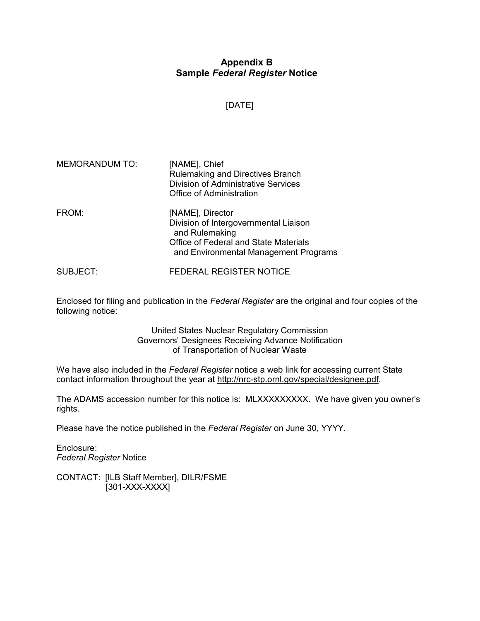# **Appendix B Sample** *Federal Register* **Notice**

## [DATE]

| MEMORANDUM TO: | [NAME], Chief<br>Rulemaking and Directives Branch<br><b>Division of Administrative Services</b><br><b>Office of Administration</b>                            |
|----------------|---------------------------------------------------------------------------------------------------------------------------------------------------------------|
| FROM:          | [NAME], Director<br>Division of Intergovernmental Liaison<br>and Rulemaking<br>Office of Federal and State Materials<br>and Environmental Management Programs |

SUBJECT: FEDERAL REGISTER NOTICE

Enclosed for filing and publication in the *Federal Register* are the original and four copies of the following notice:

> United States Nuclear Regulatory Commission Governors' Designees Receiving Advance Notification of Transportation of Nuclear Waste

We have also included in the *Federal Register* notice a web link for accessing current State contact information throughout the year at http://nrc-stp.ornl.gov/special/designee.pdf.

The ADAMS accession number for this notice is: MLXXXXXXXX. We have given you owner's rights.

Please have the notice published in the *Federal Register* on June 30, YYYY.

Enclosure: *Federal Register* Notice

CONTACT: [ILB Staff Member], DILR/FSME [301-XXX-XXXX]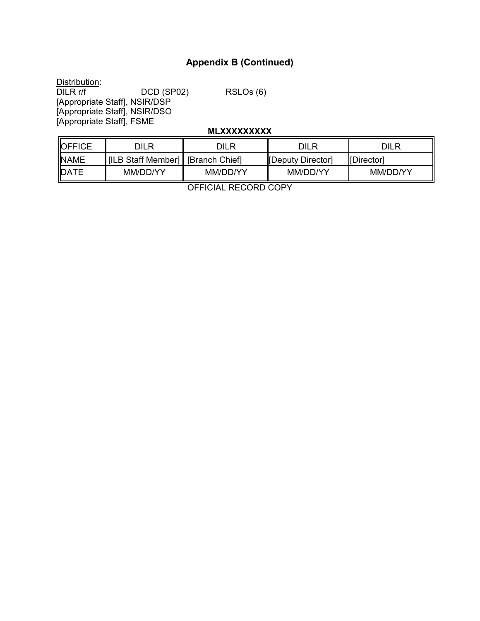# **Appendix B (Continued)**

Distribution:<br>DILR r/f DILR r/f DCD (SP02) RSLOs (6) [Appropriate Staff], NSIR/DSP

[Appropriate Staff], NSIR/DSO [Appropriate Staff], FSME

### **MLXXXXXXXXX**

| <b>OFFICE</b> | DILR                                | DILR     | DILR              | DILR       |
|---------------|-------------------------------------|----------|-------------------|------------|
| <b>NAME</b>   | [ILB Staff Member]   [Branch Chief] |          | [Deputy Director] | [Director] |
| <b>IDATE</b>  | MM/DD/YY                            | MM/DD/YY | MM/DD/YY          | MM/DD/YY   |

OFFICIAL RECORD COPY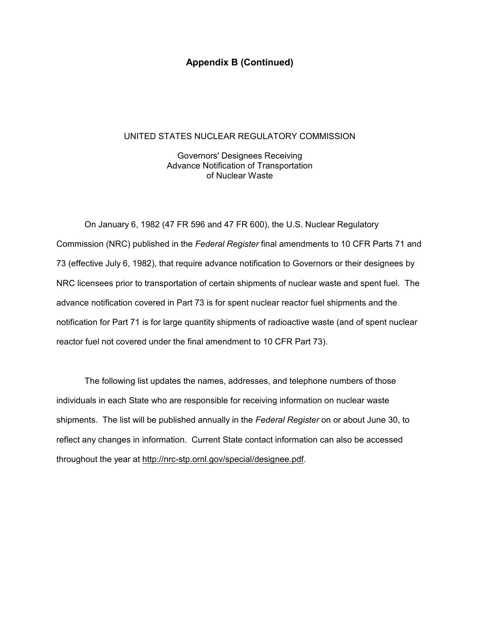### **Appendix B (Continued)**

#### UNITED STATES NUCLEAR REGULATORY COMMISSION

 Governors' Designees Receiving Advance Notification of Transportation of Nuclear Waste

On January 6, 1982 (47 FR 596 and 47 FR 600), the U.S. Nuclear Regulatory Commission (NRC) published in the *Federal Register* final amendments to 10 CFR Parts 71 and 73 (effective July 6, 1982), that require advance notification to Governors or their designees by NRC licensees prior to transportation of certain shipments of nuclear waste and spent fuel. The advance notification covered in Part 73 is for spent nuclear reactor fuel shipments and the notification for Part 71 is for large quantity shipments of radioactive waste (and of spent nuclear reactor fuel not covered under the final amendment to 10 CFR Part 73).

The following list updates the names, addresses, and telephone numbers of those individuals in each State who are responsible for receiving information on nuclear waste shipments. The list will be published annually in the *Federal Register* on or about June 30, to reflect any changes in information. Current State contact information can also be accessed throughout the year at http://nrc-stp.ornl.gov/special/designee.pdf.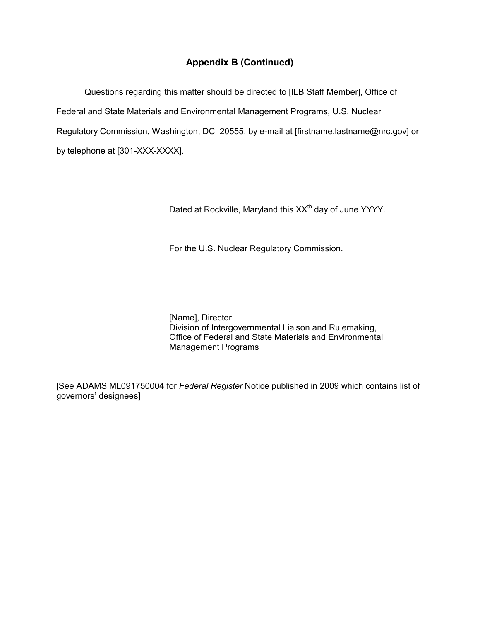# **Appendix B (Continued)**

Questions regarding this matter should be directed to [ILB Staff Member], Office of Federal and State Materials and Environmental Management Programs, U.S. Nuclear Regulatory Commission, Washington, DC 20555, by e-mail at [firstname.lastname@nrc.gov] or by telephone at [301-XXX-XXXX].

Dated at Rockville, Maryland this XX<sup>th</sup> day of June YYYY.

For the U.S. Nuclear Regulatory Commission.

 [Name], Director Division of Intergovernmental Liaison and Rulemaking, Office of Federal and State Materials and Environmental Management Programs

[See ADAMS ML091750004 for *Federal Register* Notice published in 2009 which contains list of governors' designees]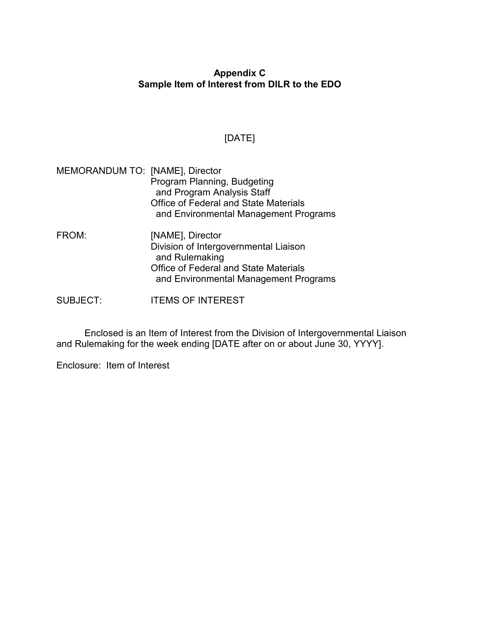# **Appendix C Sample Item of Interest from DILR to the EDO**

# [DATE]

| MEMORANDUM TO: [NAME], Director | Program Planning, Budgeting<br>and Program Analysis Staff<br>Office of Federal and State Materials<br>and Environmental Management Programs                          |
|---------------------------------|----------------------------------------------------------------------------------------------------------------------------------------------------------------------|
| FROM:                           | [NAME], Director<br>Division of Intergovernmental Liaison<br>and Rulemaking<br><b>Office of Federal and State Materials</b><br>and Environmental Management Programs |
| <b>SUBJECT:</b>                 | <b>ITEMS OF INTEREST</b>                                                                                                                                             |

Enclosed is an Item of Interest from the Division of Intergovernmental Liaison and Rulemaking for the week ending [DATE after on or about June 30, YYYY].

Enclosure: Item of Interest